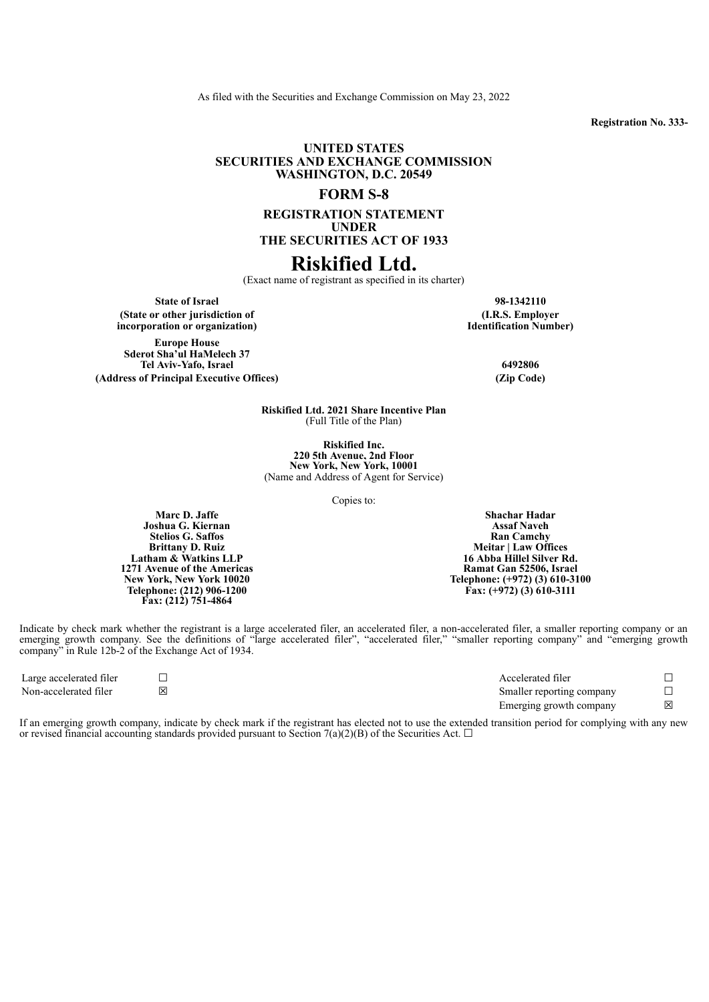As filed with the Securities and Exchange Commission on May 23, 2022

**Registration No. 333-**

## **UNITED STATES SECURITIES AND EXCHANGE COMMISSION WASHINGTON, D.C. 20549**

## **FORM S-8**

**REGISTRATION STATEMENT UNDER THE SECURITIES ACT OF 1933**

# **Riskified Ltd.**

(Exact name of registrant as specified in its charter)

**State of Israel 98-1342110 (State or other jurisdiction of incorporation or organization)**

**Europe House Sderot Sha'ul HaMelech 37 Tel Aviv-Yafo, Israel 6492806 (Address of Principal Executive Offices) (Zip Code)**

**(I.R.S. Employer Identification Number)**

**Riskified Ltd. 2021 Share Incentive Plan** (Full Title of the Plan)

**Riskified Inc. 220 5th Avenue, 2nd Floor New York, New York, 10001** (Name and Address of Agent for Service)

Copies to:

**Joshua G. Kiernan Stelios G. Saffos Brittany D. Ruiz Latham & Watkins LLP 1271 Avenue of the Americas New York, New York 10020 Telephone: (212) 906-1200 Fax: (212) 751-4864**

**Shachar Hadar Assaf Naveh Ran Camchy Meitar | Law Offices 16 Abba Hillel Silver Rd. Ramat Gan 52506, Israel Telephone: (+972) (3) 610-3100 Fax: (+972) (3) 610-3111**

Indicate by check mark whether the registrant is a large accelerated filer, an accelerated filer, a non-accelerated filer, a smaller reporting company or an emerging growth company. See the definitions of "large accelerated filer", "accelerated filer," "smaller reporting company" and "emerging growth company" in Rule 12b-2 of the Exchange Act of 1934.

| Large accelerated filer |   | Accelerated filer         |  |
|-------------------------|---|---------------------------|--|
| Non-accelerated filer   | 冈 | Smaller reporting company |  |
|                         |   | Emerging growth company   |  |

If an emerging growth company, indicate by check mark if the registrant has elected not to use the extended transition period for complying with any new or revised financial accounting standards provided pursuant to Section 7(a)(2)(B) of the Securities Act.  $\Box$ 

**Marc D. Jaffe**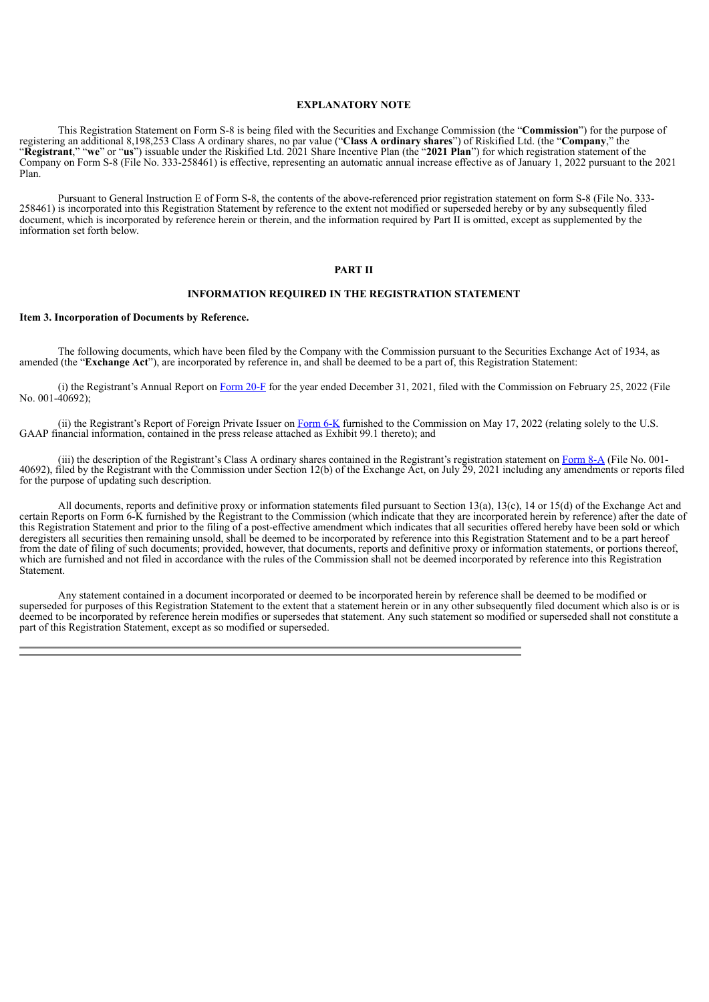#### **EXPLANATORY NOTE**

This Registration Statement on Form S-8 is being filed with the Securities and Exchange Commission (the "**Commission**") for the purpose of registering an additional 8,198,253 Class A ordinary shares, no par value ("**Class A ordinary shares**") of Riskified Ltd. (the "**Company**," the "**Registrant**," "**we**" or "**us**") issuable under the Riskified Ltd. 2021 Share Incentive Plan (the "**2021 Plan**") for which registration statement of the Company on Form S-8 (File No. 333-258461) is effective, representing an automatic annual increase effective as of January 1, 2022 pursuant to the 2021 Plan.

Pursuant to General Instruction E of Form S-8, the contents of the above-referenced prior registration statement on form S-8 (File No. 333- 258461) is incorporated into this Registration Statement by reference to the extent not modified or superseded hereby or by any subsequently filed document, which is incorporated by reference herein or therein, and the information required by Part II is omitted, except as supplemented by the information set forth below.

#### **PART II**

#### **INFORMATION REQUIRED IN THE REGISTRATION STATEMENT**

#### **Item 3. Incorporation of Documents by Reference.**

The following documents, which have been filed by the Company with the Commission pursuant to the Securities Exchange Act of 1934, as amended (the "**Exchange Act**"), are incorporated by reference in, and shall be deemed to be a part of, this Registration Statement:

(i) the Registrant's Annual Report on [Form](https://www.sec.gov/Archives/edgar/data/1851112/000185111222000006/rskd-20211231.htm) 20-F for the year ended December 31, 2021, filed with the Commission on February 25, 2022 (File No. 001-40692);

(ii) the Registrant's Report of Foreign Private Issuer on [Form](https://www.sec.gov/Archives/edgar/data/0001851112/000185111222000008/a6-krskdxq12022.htm) 6-K furnished to the Commission on May 17, 2022 (relating solely to the U.S. GAAP financial information, contained in the press release attached as Exhibit 99.1 thereto); and

(iii) the description of the Registrant's Class A ordinary shares contained in the Registrant's registration statement on [Form](https://www.sec.gov/Archives/edgar/data/0001851112/000162828021014809/riskifiedform8-a.htm) 8-A (File No. 001-40692), filed by the Registrant with the Commission under Section 12(b) of the Exchange Act, on July 29, 2021 including any amendments or reports filed for the purpose of updating such description.

All documents, reports and definitive proxy or information statements filed pursuant to Section 13(a), 13(c), 14 or 15(d) of the Exchange Act and certain Reports on Form 6-K furnished by the Registrant to the Commission (which indicate that they are incorporated herein by reference) after the date of this Registration Statement and prior to the filing of a post-effective amendment which indicates that all securities offered hereby have been sold or which deregisters all securities then remaining unsold, shall be deemed to be incorporated by reference into this Registration Statement and to be a part hereof from the date of filing of such documents; provided, however, that documents, reports and definitive proxy or information statements, or portions thereof, which are furnished and not filed in accordance with the rules of the Commission shall not be deemed incorporated by reference into this Registration **Statement** 

Any statement contained in a document incorporated or deemed to be incorporated herein by reference shall be deemed to be modified or superseded for purposes of this Registration Statement to the extent that a statement herein or in any other subsequently filed document which also is or is deemed to be incorporated by reference herein modifies or supersedes that statement. Any such statement so modified or superseded shall not constitute a part of this Registration Statement, except as so modified or superseded.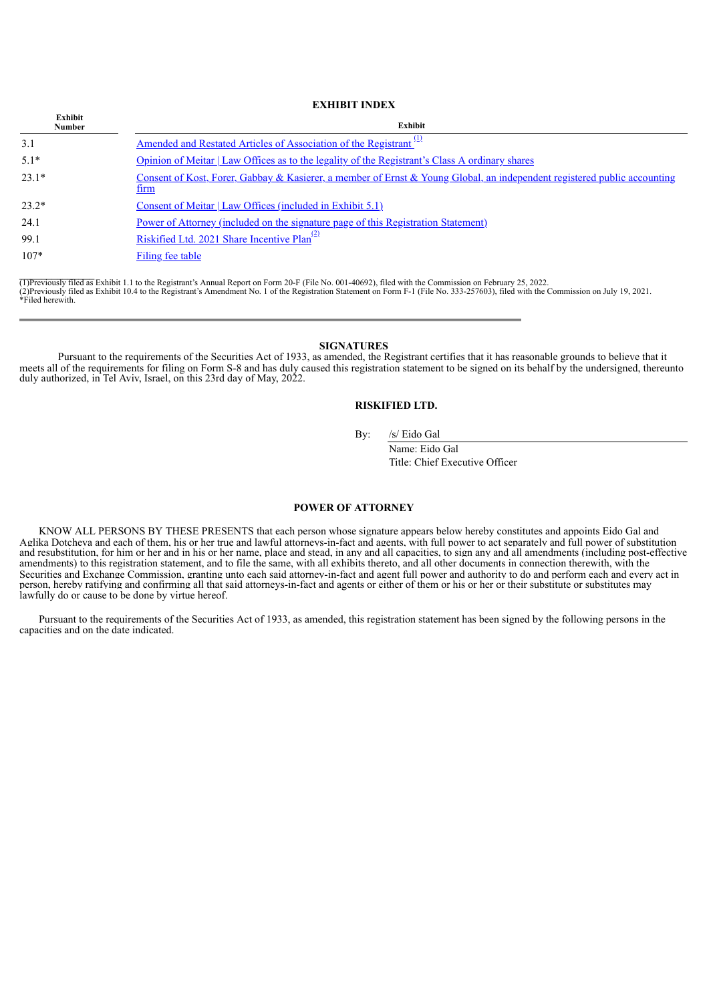**EXHIBIT INDEX**

| Exhibit<br><b>Number</b> | Exhibit                                                                                                                          |  |  |
|--------------------------|----------------------------------------------------------------------------------------------------------------------------------|--|--|
| 3.1                      | <u>Amended and Restated Articles of Association of the Registrant<sup>(1)</sup></u>                                              |  |  |
| $5.1*$                   | Opinion of Meitar   Law Offices as to the legality of the Registrant's Class A ordinary shares                                   |  |  |
| $23.1*$                  | Consent of Kost, Forer, Gabbay & Kasierer, a member of Ernst & Young Global, an independent registered public accounting<br>tırm |  |  |
| $23.2*$                  | Consent of Meitar   Law Offices (included in Exhibit 5.1)                                                                        |  |  |
| 24.1                     | Power of Attorney (included on the signature page of this Registration Statement)                                                |  |  |
| 99.1                     | Riskified Ltd. 2021 Share Incentive $Plan^{(2)}$                                                                                 |  |  |
| $107*$                   | Filing fee table                                                                                                                 |  |  |

(1)Previously filed as Exhibit 1.1 to the Registrant's Annual Report on Form 20-F (File No. 001-40692), filed with the Commission on February 25, 2022.<br>(2)Previously filed as Exhibit 10.4 to the Registrant's Amendment No.

### **SIGNATURES**

<span id="page-2-0"></span>Pursuant to the requirements of the Securities Act of 1933, as amended, the Registrant certifies that it has reasonable grounds to believe that it meets all of the requirements for filing on Form S-8 and has duly caused this registration statement to be signed on its behalf by the undersigned, thereunto duly authorized, in Tel Aviv, Israel, on this 23rd day of May, 2022.

## **RISKIFIED LTD.**

By: /s/ Eido Gal

Name: Eido Gal Title: Chief Executive Officer

#### **POWER OF ATTORNEY**

KNOW ALL PERSONS BY THESE PRESENTS that each person whose signature appears below hereby constitutes and appoints Eido Gal and Aglika Dotcheva and each of them, his or her true and lawful attorneys-in-fact and agents, with full power to act separately and full power of substitution and resubstitution, for him or her and in his or her name, place and stead, in any and all capacities, to sign any and all amendments (including post-effective and resubstitution, for him or her and in his or her name, pla amendments) to this registration statement, and to file the same, with all exhibits thereto, and all other documents in connection therewith, with the Securities and Exchange Commission, granting unto each said attorney-in-fact and agent full power and authority to do and perform each and every act in person, hereby ratifying and confirming all that said attorneys-in-fact and agents or either of them or his or her or their substitute or substitutes may lawfully do or cause to be done by virtue hereof.

Pursuant to the requirements of the Securities Act of 1933, as amended, this registration statement has been signed by the following persons in the capacities and on the date indicated.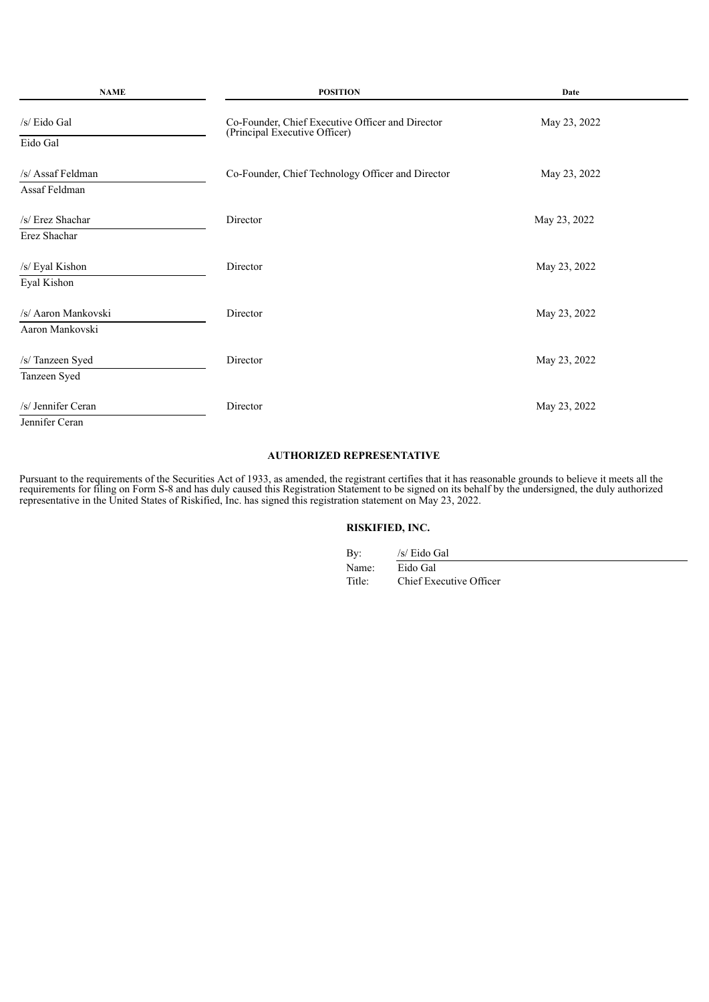| <b>NAME</b>                            | <b>POSITION</b>                                                                   | Date         |  |  |
|----------------------------------------|-----------------------------------------------------------------------------------|--------------|--|--|
| /s/ Eido Gal<br>Eido Gal               | Co-Founder, Chief Executive Officer and Director<br>(Principal Executive Officer) | May 23, 2022 |  |  |
| /s/ Assaf Feldman<br>Assaf Feldman     | Co-Founder, Chief Technology Officer and Director                                 | May 23, 2022 |  |  |
| /s/ Erez Shachar<br>Erez Shachar       | Director                                                                          | May 23, 2022 |  |  |
| /s/ Eyal Kishon<br>Eyal Kishon         | Director                                                                          | May 23, 2022 |  |  |
| /s/ Aaron Mankovski<br>Aaron Mankovski | Director                                                                          | May 23, 2022 |  |  |
| /s/ Tanzeen Syed<br>Tanzeen Syed       | Director                                                                          | May 23, 2022 |  |  |
| /s/ Jennifer Ceran<br>Jennifer Ceran   | Director                                                                          | May 23, 2022 |  |  |

## **AUTHORIZED REPRESENTATIVE**

Pursuant to the requirements of the Securities Act of 1933, as amended, the registrant certifies that it has reasonable grounds to believe it meets all the requirements for filing on Form S-8 and has duly caused this Registration Statement to be signed on its behalf by the undersigned, the duly authorized representative in the United States of Riskified, Inc. has signed this registration statement on May 23, 2022.

# **RISKIFIED, INC.**

| By:    | /s/ Eido Gal            |
|--------|-------------------------|
| Name:  | Eido Gal                |
| Title: | Chief Executive Officer |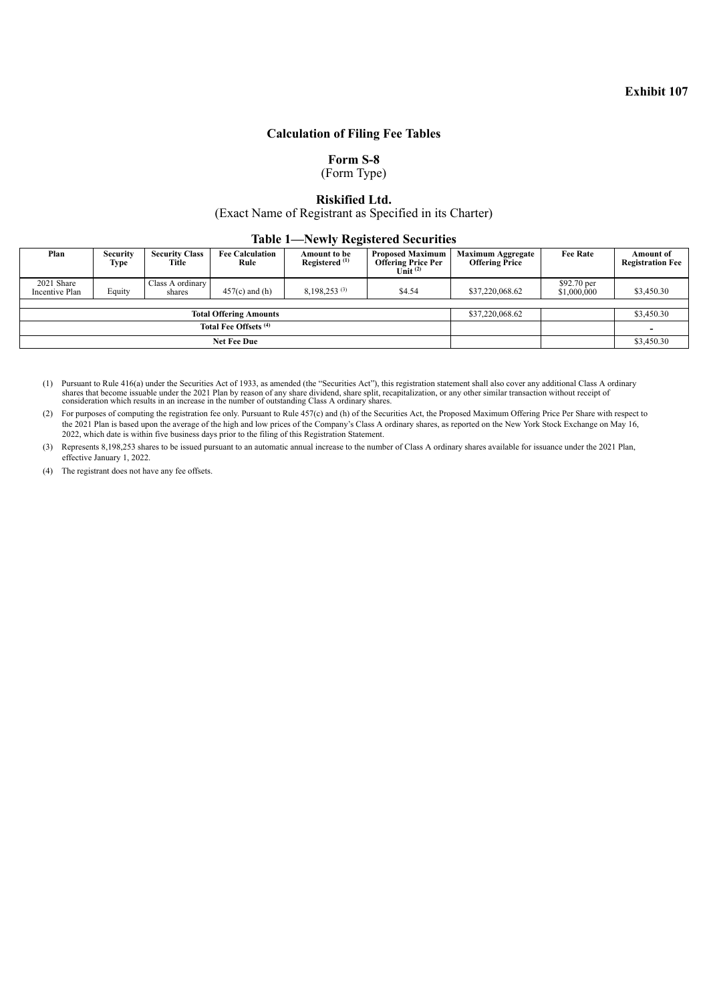## **Calculation of Filing Fee Tables**

**Form S-8**

(Form Type)

## **Riskified Ltd.**

(Exact Name of Registrant as Specified in its Charter)

## **Table 1—Newly Registered Securities**

<span id="page-5-0"></span>

| Plan                         | Security<br>Type | <b>Security Class</b><br>Title | <b>Fee Calculation</b><br>Rule | Amount to be<br>Registered <sup>(1)</sup> | <b>Proposed Maximum</b><br><b>Offering Price Per</b><br>Unit $(2)$ | <b>Maximum Aggregate</b><br><b>Offering Price</b> | <b>Fee Rate</b>            | <b>Amount of</b><br><b>Registration Fee</b> |
|------------------------------|------------------|--------------------------------|--------------------------------|-------------------------------------------|--------------------------------------------------------------------|---------------------------------------------------|----------------------------|---------------------------------------------|
| 2021 Share<br>Incentive Plan | Equity           | Class A ordinary<br>shares     | $457(c)$ and (h)               | 8.198.253(3)                              | \$4.54                                                             | \$37,220,068.62                                   | \$92.70 per<br>\$1,000,000 | \$3,450.30                                  |
|                              |                  |                                |                                |                                           |                                                                    |                                                   |                            |                                             |
|                              |                  |                                | <b>Total Offering Amounts</b>  |                                           |                                                                    | \$37,220,068.62                                   |                            | \$3,450.30                                  |
| Total Fee Offsets (4)        |                  |                                |                                |                                           |                                                                    | $\overline{\phantom{a}}$                          |                            |                                             |
|                              |                  |                                | <b>Net Fee Due</b>             |                                           |                                                                    |                                                   |                            | \$3,450.30                                  |

(1) Pursuant to Rule 416(a) under the Securities Act of 1933, as amended (the "Securities Act"), this registration statement shall also cover any additional Class A ordinary shares that become issuable under the 2021 Plan

(2) For purposes of computing the registration fee only. Pursuant to Rule 457(c) and (h) of the Securities Act, the Proposed Maximum Offering Price Per Share with respect to the 2021 Plan is based upon the average of the high and low prices of the Company's Class A ordinary shares, as reported on the New York Stock Exchange on May 16, 2022, which date is within five business days prior to the filing of this Registration Statement.

(3) Represents 8,198,253 shares to be issued pursuant to an automatic annual increase to the number of Class A ordinary shares available for issuance under the 2021 Plan, effective January 1, 2022.

(4) The registrant does not have any fee offsets.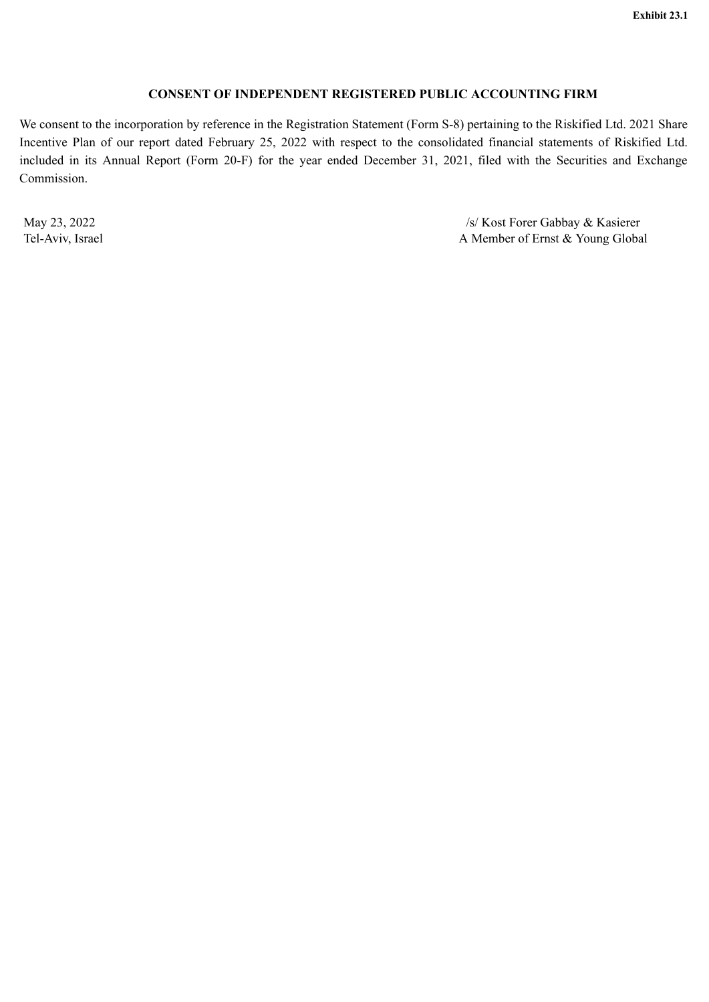# **CONSENT OF INDEPENDENT REGISTERED PUBLIC ACCOUNTING FIRM**

<span id="page-6-0"></span>We consent to the incorporation by reference in the Registration Statement (Form S-8) pertaining to the Riskified Ltd. 2021 Share Incentive Plan of our report dated February 25, 2022 with respect to the consolidated financial statements of Riskified Ltd. included in its Annual Report (Form 20-F) for the year ended December 31, 2021, filed with the Securities and Exchange Commission.

May 23, 2022 /s/ Kost Forer Gabbay & Kasierer Tel-Aviv, Israel A Member of Ernst & Young Global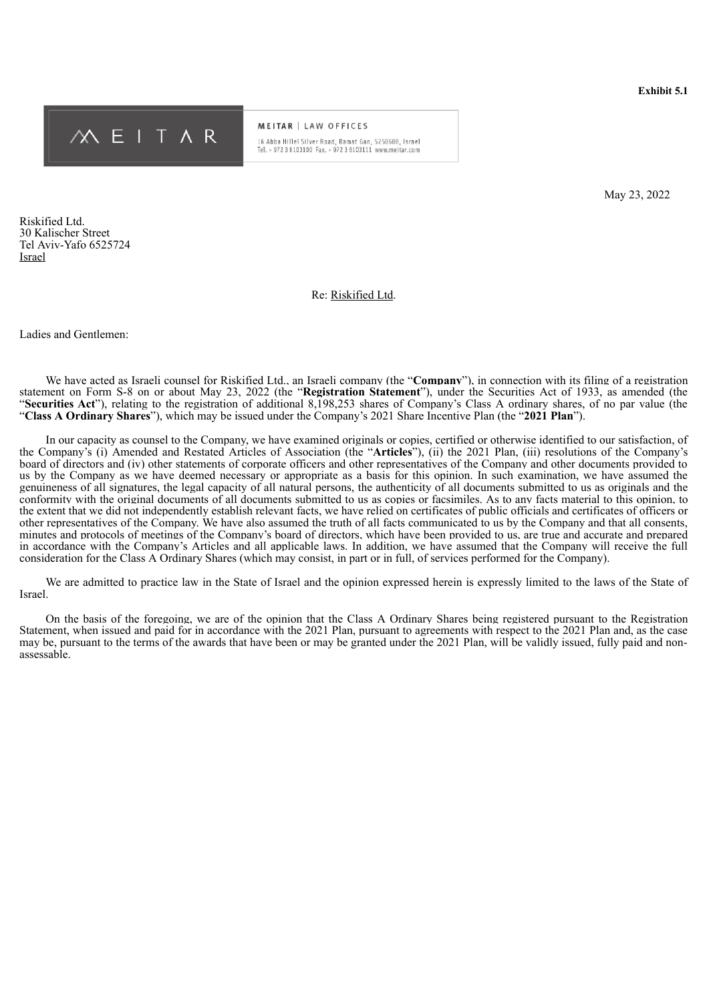<span id="page-7-0"></span>

**MEITAR** | LAW OFFICES 16 Abba Hillel Silver Road, Ramat Gan, 5250608, Israel Tel. + 972 3 6103100 Fax. + 972 3 6103111 www.meitar.com

May 23, 2022

Riskified Ltd. 30 Kalischer Street Tel Aviv-Yafo 6525724 Israel

#### Re: Riskified Ltd.

Ladies and Gentlemen:

We have acted as Israeli counsel for Riskified Ltd., an Israeli company (the "**Company**"), in connection with its filing of a registration statement on Form S-8 on or about May 23, 2022 (the "**Registration Statement**"), under the Securities Act of 1933, as amended (the "**Securities Act**"), relating to the registration of additional 8,198,253 shares of Company's Class A ordinary shares, of no par value (the "**Class A Ordinary Shares**"), which may be issued under the Company's 2021 Share Incentive Plan (the "**2021 Plan**").

In our capacity as counsel to the Company, we have examined originals or copies, certified or otherwise identified to our satisfaction, of the Company's (i) Amended and Restated Articles of Association (the "**Articles**"), (ii) the 2021 Plan, (iii) resolutions of the Company's board of directors and (iv) other statements of corporate officers and other representatives of the Company and other documents provided to us by the Company as we have deemed necessary or appropriate as a basis for this opinion. In such examination, we have assumed the genuineness of all signatures, the legal capacity of all natural persons, the authenticity of all documents submitted to us as originals and the conformity with the original documents of all documents submitted to us as copies or facsimiles. As to any facts material to this opinion, to the extent that we did not independently establish relevant facts, we have relied on certificates of public officials and certificates of officers or other representatives of the Company. We have also assumed the truth of all facts communicated to us by the Company and that all consents, minutes and protocols of meetings of the Company's board of directors, which have been provided to us, are true and accurate and prepared in accordance with the Company's Articles and all applicable laws. In addition, we have assumed that the Company will receive the full consideration for the Class A Ordinary Shares (which may consist, in part or in full, of services performed for the Company).

We are admitted to practice law in the State of Israel and the opinion expressed herein is expressly limited to the laws of the State of Israel.

On the basis of the foregoing, we are of the opinion that the Class A Ordinary Shares being registered pursuant to the Registration Statement, when issued and paid for in accordance with the 2021 Plan, pursuant to agreements with respect to the 2021 Plan and, as the case may be, pursuant to the terms of the awards that have been or may be granted under the 2021 Plan, will be validly issued, fully paid and nonassessable.